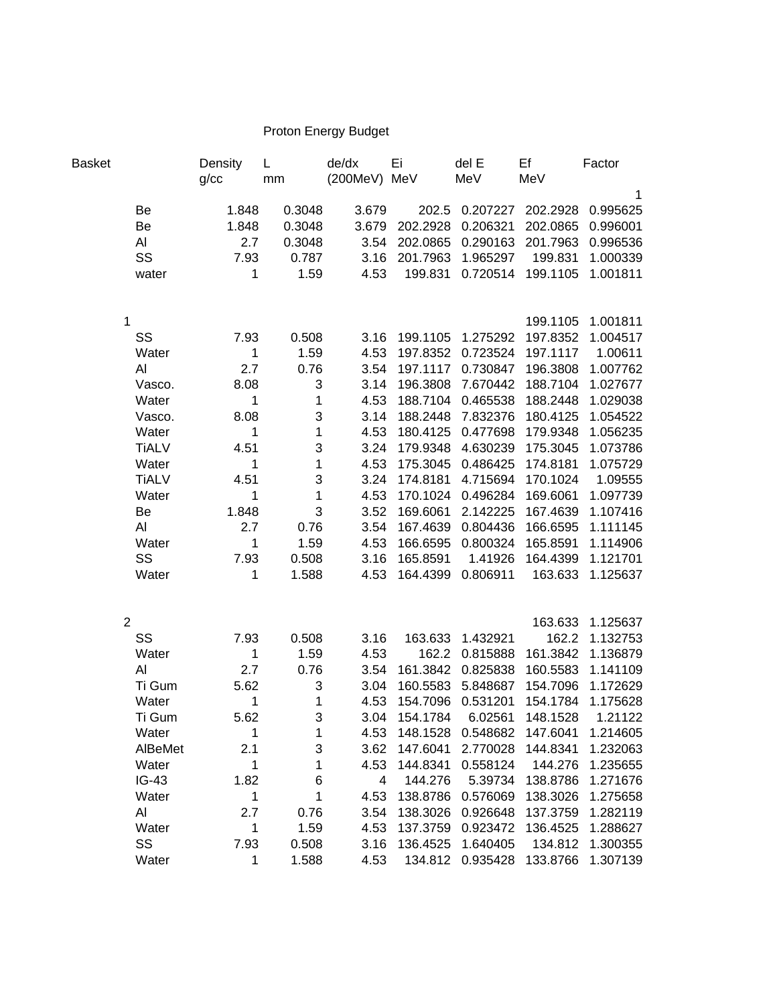## Proton Energy Budget

| Basket |                | Density<br>g/cc            | L<br>mm                   | de/dx<br>(200MeV) MeV | Ei                  | del E<br>MeV      | Ef<br>MeV                  | Factor       |
|--------|----------------|----------------------------|---------------------------|-----------------------|---------------------|-------------------|----------------------------|--------------|
|        |                |                            |                           |                       |                     |                   |                            | $\mathbf{1}$ |
|        | Be             | 1.848                      | 0.3048                    | 3.679                 |                     |                   | 202.5 0.207227 202.2928    | 0.995625     |
|        | Be             | 1.848                      | 0.3048                    | 3.679                 |                     | 202.2928 0.206321 | 202.0865                   | 0.996001     |
|        | AI             | 2.7                        | 0.3048                    | 3.54                  | 202.0865            | 0.290163          | 201.7963                   | 0.996536     |
|        | SS             | 7.93                       | 0.787                     | 3.16                  | 201.7963            | 1.965297          | 199.831                    | 1.000339     |
|        | water          | $\mathbf{1}$               | 1.59                      | 4.53                  | 199.831             |                   | 0.720514 199.1105          | 1.001811     |
|        |                |                            |                           |                       |                     |                   |                            |              |
|        | 1              |                            |                           |                       |                     |                   | 199.1105                   | 1.001811     |
|        | SS             | 7.93                       | 0.508                     | 3.16                  |                     | 199.1105 1.275292 | 197.8352                   | 1.004517     |
|        | Water          | $\overline{\phantom{1}}$   | 1.59                      | 4.53                  |                     | 197.8352 0.723524 | 197.1117                   | 1.00611      |
|        | Al             | 2.7                        | 0.76                      | 3.54                  |                     | 197.1117 0.730847 | 196.3808                   | 1.007762     |
|        | Vasco.         | 8.08                       | 3                         | 3.14                  |                     |                   | 196.3808 7.670442 188.7104 | 1.027677     |
|        | Water          | $\overline{\phantom{0}}$ 1 | $\mathbf{1}$              | 4.53                  |                     | 188.7104 0.465538 | 188.2448                   | 1.029038     |
|        | Vasco.         | 8.08                       | $\ensuremath{\mathsf{3}}$ | 3.14                  |                     | 188.2448 7.832376 | 180.4125                   | 1.054522     |
|        | Water          | $\mathbf{1}$               | $\mathbf{1}$              | 4.53                  |                     | 180.4125 0.477698 | 179.9348                   | 1.056235     |
|        | <b>TiALV</b>   | 4.51                       | $\mathsf 3$               | 3.24                  | 179.9348            | 4.630239          | 175.3045                   | 1.073786     |
|        | Water          | $\mathbf 1$                | $\mathbf{1}$              | 4.53                  | 175.3045            | 0.486425          | 174.8181                   | 1.075729     |
|        | <b>TiALV</b>   | 4.51                       | $\mathsf 3$               | 3.24                  | 174.8181            | 4.715694          | 170.1024                   | 1.09555      |
|        | Water          | $\mathbf{1}$               | $\mathbf{1}$              | 4.53                  | 170.1024            | 0.496284          | 169.6061                   | 1.097739     |
|        | Be             | 1.848                      | $\mathbf{3}$              | 3.52                  | 169.6061            | 2.142225          | 167.4639                   | 1.107416     |
|        | Al             | 2.7                        | 0.76                      | 3.54                  | 167.4639            | 0.804436          | 166.6595                   | 1.111145     |
|        | Water          | $\mathbf 1$                | 1.59                      | 4.53                  |                     | 166.6595 0.800324 | 165.8591                   | 1.114906     |
|        | SS             | 7.93                       | 0.508                     | 3.16                  | 165.8591            | 1.41926           | 164.4399                   | 1.121701     |
|        | Water          | $\mathbf{1}$               | 1.588                     | 4.53                  |                     | 164.4399 0.806911 | 163.633                    | 1.125637     |
|        |                |                            |                           |                       |                     |                   |                            |              |
|        | $\overline{2}$ |                            |                           |                       |                     |                   | 163.633                    | 1.125637     |
|        | SS             | 7.93                       | 0.508                     | 3.16                  | 163.633             | 1.432921          | 162.2                      | 1.132753     |
|        | Water          | $\mathbf{1}$               | 1.59                      | 4.53                  | 162.2               | 0.815888          | 161.3842                   | 1.136879     |
|        | Al             | 2.7                        | 0.76                      | 3.54                  | 161.3842            | 0.825838          | 160.5583                   | 1.141109     |
|        | Ti Gum         | 5.62                       | 3                         | 3.04                  | 160.5583            | 5.848687          | 154.7096                   | 1.172629     |
|        | Water          | 1                          | $\mathbf 1$               | 4.53                  |                     | 154.7096 0.531201 | 154.1784                   | 1.175628     |
|        | Ti Gum         | 5.62                       | 3                         | 3.04                  | 154.1784            | 6.02561           | 148.1528                   | 1.21122      |
|        | Water          | 1                          | 1                         | 4.53                  | 148.1528            | 0.548682          | 147.6041                   | 1.214605     |
|        | AlBeMet        | 2.1                        | 3                         | 3.62                  | 147.6041            | 2.770028          | 144.8341                   | 1.232063     |
|        | Water          | 1                          | 1                         | 4.53                  | 144.8341            | 0.558124          | 144.276                    | 1.235655     |
|        | $IG-43$        | 1.82                       | 6                         | 4                     | 144.276             | 5.39734           | 138.8786                   | 1.271676     |
|        | Water          | 1                          | 1                         | 4.53                  | 138.8786            | 0.576069          | 138.3026                   | 1.275658     |
|        | Al             | 2.7                        | 0.76                      | 3.54                  | 138.3026            | 0.926648          | 137.3759                   | 1.282119     |
|        | Water          | 1                          | 1.59                      | 4.53                  | 137.3759            | 0.923472          | 136.4525                   | 1.288627     |
|        | SS             | 7.93<br>1                  | 0.508                     | 3.16                  | 136.4525<br>134.812 | 1.640405          | 134.812                    | 1.300355     |
|        | Water          |                            | 1.588                     | 4.53                  |                     | 0.935428          | 133.8766                   | 1.307139     |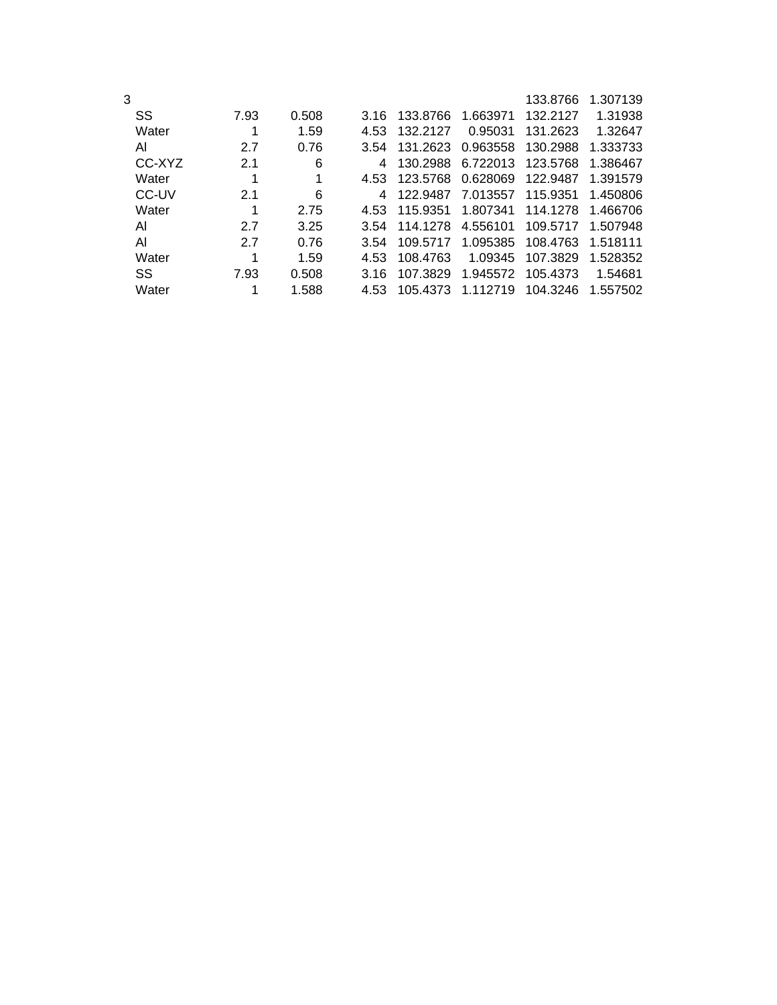| 3 |        |      |       |      |          |          | 133.8766 | 1.307139 |
|---|--------|------|-------|------|----------|----------|----------|----------|
|   | SS     | 7.93 | 0.508 | 3.16 | 133.8766 | 1.663971 | 132.2127 | 1.31938  |
|   | Water  |      | 1.59  | 4.53 | 132.2127 | 0.95031  | 131.2623 | 1.32647  |
|   | Al     | 2.7  | 0.76  | 3.54 | 131.2623 | 0.963558 | 130.2988 | 1.333733 |
|   | CC-XYZ | 2.1  | 6     | 4    | 130.2988 | 6.722013 | 123.5768 | 1.386467 |
|   | Water  | 1    | 1     | 4.53 | 123.5768 | 0.628069 | 122.9487 | 1.391579 |
|   | CC-UV  | 2.1  | 6     | 4    | 122.9487 | 7.013557 | 115.9351 | 1.450806 |
|   | Water  | 1    | 2.75  | 4.53 | 115.9351 | 1.807341 | 114.1278 | 1.466706 |
|   | AI     | 2.7  | 3.25  | 3.54 | 114.1278 | 4.556101 | 109.5717 | 1.507948 |
|   | Al     | 2.7  | 0.76  | 3.54 | 109.5717 | 1.095385 | 108.4763 | 1.518111 |
|   | Water  |      | 1.59  | 4.53 | 108.4763 | 1.09345  | 107.3829 | 1.528352 |
|   | SS     | 7.93 | 0.508 | 3.16 | 107.3829 | 1.945572 | 105.4373 | 1.54681  |
|   | Water  | 1    | 1.588 | 4.53 | 105.4373 | 1.112719 | 104.3246 | 1.557502 |
|   |        |      |       |      |          |          |          |          |